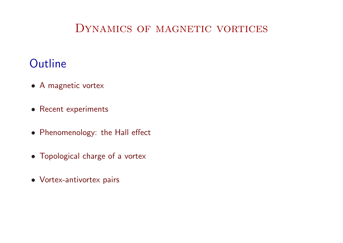### DYNAMICS OF MAGNETIC VORTICES

### **Outline**

- <sup>A</sup> magnetic vortex
- Recent experiments
- Phenomenology: the Hall effect
- Topological charge of <sup>a</sup> vortex
- Vortex-antivortex pairs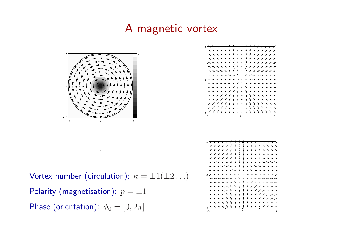### <sup>A</sup> magnetic vortex



 $\mathbf{x}$ 





Vortex number (circulation):  $\kappa = \pm 1(\pm 2 \ldots)$ Polarity (magnetisation):  $p=\pm 1$ Phase (orientation):  $\phi_0 = [0,2\pi]$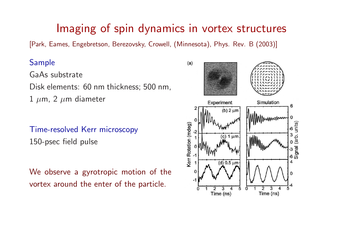### Imaging of spin dynamics in vortex structures

[Park, Eames, Engebretson, Berezovsky, Crowell, (Minnesota), Phys. Rev. <sup>B</sup> (2003)]

### Sample

GaAs substrate

Disk elements: <sup>60</sup> nm thickness; <sup>500</sup> nm,

 $1\;\mu$ m, 2  $\mu$ m diameter

Time-resolved Kerr microscopy150-psec field pulse

We observe <sup>a</sup> gyrotropic motion of thevortex around the enter of the particle.

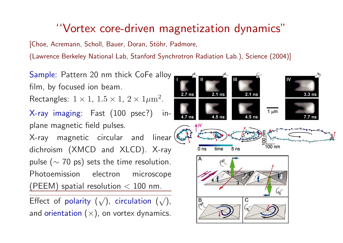# ''Vortex core-driven magnetization dynamics"

[Choe, Acremann, Scholl, Bauer, Doran, Stöhr, Padmore,

(Lawrence Berkeley National Lab, Stanford Synchrotron Radiation Lab.), Science (2004)]

Sample: Pattern <sup>20</sup> nm thick CoFe alloyfilm, by focused ion beam.  $2.7$  ns  $2.1$  ns  $3.3<sub>ns</sub>$ Rectangles:  $1\times1$ ,  $1.5\times1$ ,  $2\times1\mu\text{m}^2$  . X-ray imaging: Fast (100 psec?) in- $1 \mu m$ plane magnetic field pulses.  $\blacktriangle H$ X-ray magnetic circular and linear $\frac{8}{100}$  nm dichroism (XMCD and XLCD). X-raytime  $8<sub>ns</sub>$  $0<sub>ns</sub>$ pulse ( $\sim$  70 ps) sets the time resolution.<br>-(ৰ্ৰ Photoemission electron microscope $(\mathsf{PEEM})$  spatial resolution  $< 100$  nm. Effect of polarity  $(\surd)$ , circulation  $(\surd)$ , B C

and orientation  $(\times)$ , on vortex dynamics.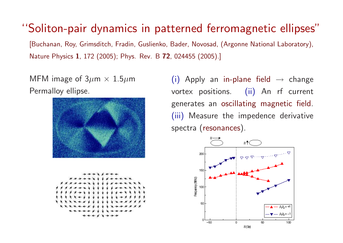''Soliton-pair dynamics in patterned ferromagnetic ellipses"

[Buchanan, Roy, Grimsditch, Fradin, Guslienko, Bader, Novosad, (Argonne National Laboratory), Nature Physics  $\bm{1}$ , 172 (2005); Phys. Rev. B  $\bm{72}$ , 024455 (2005).]

MFM image of 3 $\mu$ m  $\times$  1.5 $\mu$ m Permalloy ellipse.





 $(i)$  Apply an in-plane field  $\rightarrow$  change vortex positions. (ii) An rf current generates an oscillating magnetic field. (iii) Measure the impedence derivativespectra (resonances).

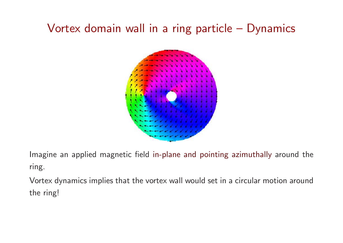# Vortex domain wall in <sup>a</sup> ring particle – Dynamics



Imagine an applied magnetic field in-plane and pointing azimuthally around the ring.

Vortex dynamics implies that the vortex wall would set in <sup>a</sup> circular motion aroundthe ring!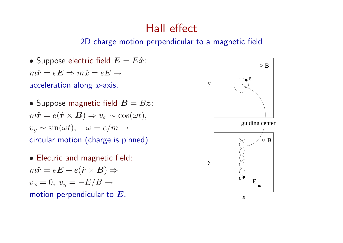## Hall effect

### 2D charge motion perpendicular to <sup>a</sup> magnetic field

- $\bullet$  Suppose electric field  $\boldsymbol{E} = E\hat{\boldsymbol{x}}$ :  $m\ddot{\bm{r}} = e\bm{E} \Rightarrow m\ddot{x} = eE \rightarrow$ acceleration along  $x$ -axis.
- $\bullet$  Suppose magnetic field  $\bm{B} = B \hat{\bm{z}}$ :  $m\ddot{\bm{r}} = e(\dot{\bm{r}}\times\bm{B}) \Rightarrow v_x \sim \cos(\omega t),$  $v_y \sim \sin(\omega t), \quad \omega = e/m \rightarrow$ circular motion (charge is pinned).
- Electric and magnetic field:  $m\ddot{\boldsymbol{r}}=e\boldsymbol{E}+e(\dot{\boldsymbol{r}}\times\boldsymbol{B})\Rightarrow$  $v_x = 0, v_y = -E/B \rightarrow$ motion perpendicular to  $\boldsymbol{E}.$

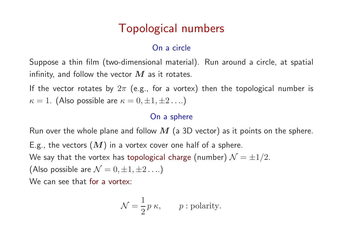# Topological numbers

### On <sup>a</sup> circle

Suppose <sup>a</sup> thin film (two-dimensional material). Run around <sup>a</sup> circle, at spatial infinity, and follow the vector  $\bm{M}$  as it rotates.<br>'

If the vector rotates by  $2\pi$  (e.g., for a vortex) then the topological number is  $\kappa=1$ . (Also possible are  $\kappa=0,\pm 1,\pm 2\ldots$ )

### On <sup>a</sup> sphere

Run over the whole plane and follow  $M$  (a 3D vector) as it points on the sphere.<br>Faught of the set of  $\Phi$  is E.g., the vectors  $(M)$  in a vortex cover one half of a sphere. We say that the vortex has topological charge (number)  ${\cal N}=\pm 1/2.$  (Also possible are  ${\cal N}=0,\pm 1,\pm 2\ldots)$ e  $\mathcal{N}=0,\pm 1,\pm 2\ldots)$ We can see that for <sup>a</sup> vortex:

$$
\mathcal{N} = \frac{1}{2} p \kappa, \qquad p : \text{polarity.}
$$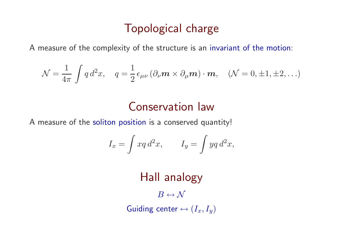## Topological charge

<sup>A</sup> measure of the complexity of the structure is an invariant of the motion:

$$
\mathcal{N} = \frac{1}{4\pi} \int q d^2 x, \quad q = \frac{1}{2} \epsilon_{\mu\nu} (\partial_\nu \mathbf{m} \times \partial_\mu \mathbf{m}) \cdot \mathbf{m}, \quad (\mathcal{N} = 0, \pm 1, \pm 2, \ldots)
$$

## Conservation law

<sup>A</sup> measure of the soliton position is <sup>a</sup> conserved quantity!

$$
I_x = \int xq d^2x, \qquad I_y = \int yq d^2x,
$$

Hall analogy

 $B \leftrightarrow \mathcal{N}$ 

Guiding center  $\leftrightarrow$   $(I_x,I_y)$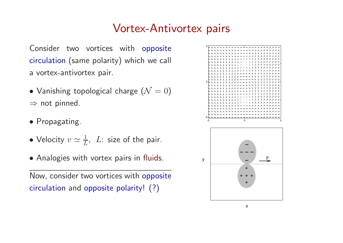## Vortex-Antivortex pairs

Consider two vortices with opposite circulation (same polarity) which we call <sup>a</sup> vortex-antivortex pair.

- $\bullet$  Vanishing topological charge  $\left( \mathcal{N}=0\right)$  $\Rightarrow$  not pinned.
- Propagating.
- $\bullet$  Velocity  $v\simeq \frac{1}{L}$  $\frac{1}{L}, ~~ L:$  size of the pair.
- Analogies with vortex pairs in fluids.

Now, consider two vortices with opposite circulation and opposite polarity! (?)

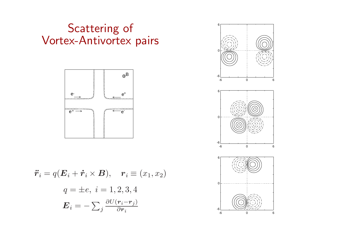## Scattering of Vortex-Antivortex pairs



$$
\ddot{r}_i = q(E_i + \dot{r}_i \times B), \quad r_i \equiv (x_1, x_2)
$$

$$
q = \pm e, \ i = 1, 2, 3, 4
$$

$$
E_i = -\sum_j \frac{\partial U(r_i - r_j)}{\partial r_i}
$$

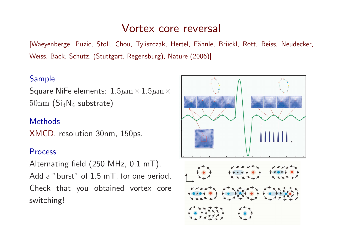### Vortex core reversal

[Waeyenberge, Puzic, Stoll, Chou, Tyliszczak, Hertel, Fähnle, Brückl, Rott, Reiss, Neudecker, Weiss, Back, Schütz, (Stuttgart, Regensburg), Nature (2006)]

#### Sample

Square NiFe elements:  $1.5\mu m \times 1.5\mu m \times$  $50 \text{nm (Si}_3 \text{N}_4 \text{ substrate)}$ 

#### **Methods**

XMCD, resolution 30nm, 150ps.

#### Process

Alternating field (250 MHz, 0.1 mT). Add a "burst" of 1.5 mT, for one period. Check that you obtained vortex coreswitching!